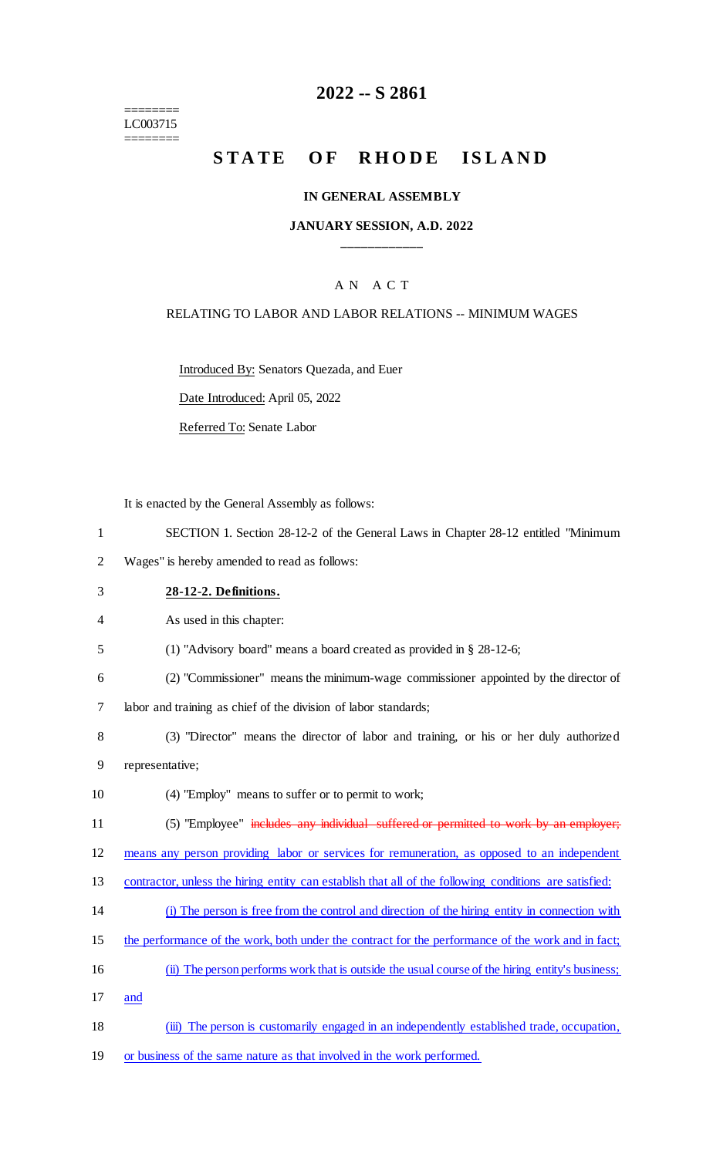======== LC003715 ========

# **2022 -- S 2861**

# **STATE OF RHODE ISLAND**

#### **IN GENERAL ASSEMBLY**

### **JANUARY SESSION, A.D. 2022 \_\_\_\_\_\_\_\_\_\_\_\_**

## A N A C T

#### RELATING TO LABOR AND LABOR RELATIONS -- MINIMUM WAGES

Introduced By: Senators Quezada, and Euer

Date Introduced: April 05, 2022

Referred To: Senate Labor

It is enacted by the General Assembly as follows:

- 1 SECTION 1. Section 28-12-2 of the General Laws in Chapter 28-12 entitled "Minimum
- 2 Wages" is hereby amended to read as follows:
- 3 **28-12-2. Definitions.**
- 4 As used in this chapter:
- 5 (1) "Advisory board" means a board created as provided in § 28-12-6;
- 6 (2) "Commissioner" means the minimum-wage commissioner appointed by the director of

7 labor and training as chief of the division of labor standards;

- 8 (3) "Director" means the director of labor and training, or his or her duly authorized 9 representative;
- 10 (4) "Employ" means to suffer or to permit to work;
- 11 (5) "Employee" includes any individual suffered or permitted to work by an employer;

12 means any person providing labor or services for remuneration, as opposed to an independent

- 13 contractor, unless the hiring entity can establish that all of the following conditions are satisfied:
- 14 (i) The person is free from the control and direction of the hiring entity in connection with
- 15 the performance of the work, both under the contract for the performance of the work and in fact;
- 16 (ii) The person performs work that is outside the usual course of the hiring entity's business;
- 17 and
- 18 (iii) The person is customarily engaged in an independently established trade, occupation,
- 19 or business of the same nature as that involved in the work performed.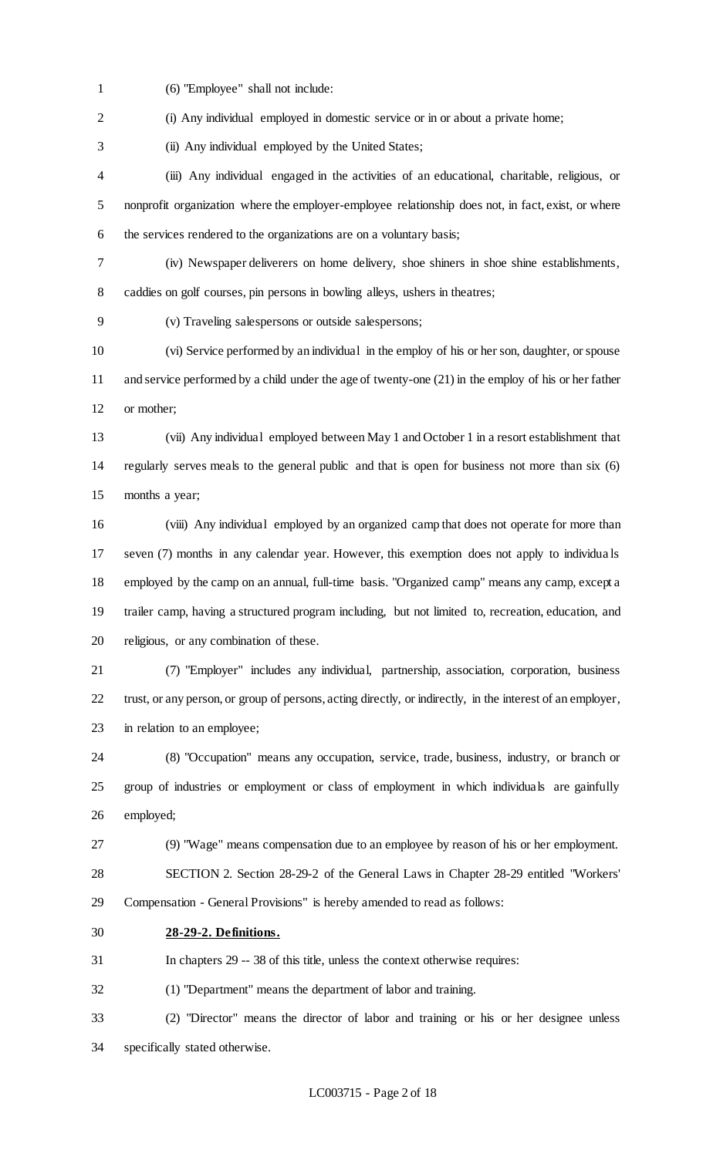(6) "Employee" shall not include:

2 (i) Any individual employed in domestic service or in or about a private home;

(ii) Any individual employed by the United States;

 (iii) Any individual engaged in the activities of an educational, charitable, religious, or nonprofit organization where the employer-employee relationship does not, in fact, exist, or where the services rendered to the organizations are on a voluntary basis;

 (iv) Newspaper deliverers on home delivery, shoe shiners in shoe shine establishments, caddies on golf courses, pin persons in bowling alleys, ushers in theatres;

(v) Traveling salespersons or outside salespersons;

 (vi) Service performed by an individual in the employ of his or her son, daughter, or spouse and service performed by a child under the age of twenty-one (21) in the employ of his or her father or mother;

 (vii) Any individual employed between May 1 and October 1 in a resort establishment that regularly serves meals to the general public and that is open for business not more than six (6) months a year;

 (viii) Any individual employed by an organized camp that does not operate for more than seven (7) months in any calendar year. However, this exemption does not apply to individua ls employed by the camp on an annual, full-time basis. "Organized camp" means any camp, except a trailer camp, having a structured program including, but not limited to, recreation, education, and religious, or any combination of these.

 (7) "Employer" includes any individual, partnership, association, corporation, business trust, or any person, or group of persons, acting directly, or indirectly, in the interest of an employer, in relation to an employee;

 (8) "Occupation" means any occupation, service, trade, business, industry, or branch or group of industries or employment or class of employment in which individuals are gainfully employed;

(9) "Wage" means compensation due to an employee by reason of his or her employment.

 SECTION 2. Section 28-29-2 of the General Laws in Chapter 28-29 entitled "Workers' Compensation - General Provisions" is hereby amended to read as follows:

**28-29-2. Definitions.**

In chapters 29 -- 38 of this title, unless the context otherwise requires:

(1) "Department" means the department of labor and training.

 (2) "Director" means the director of labor and training or his or her designee unless specifically stated otherwise.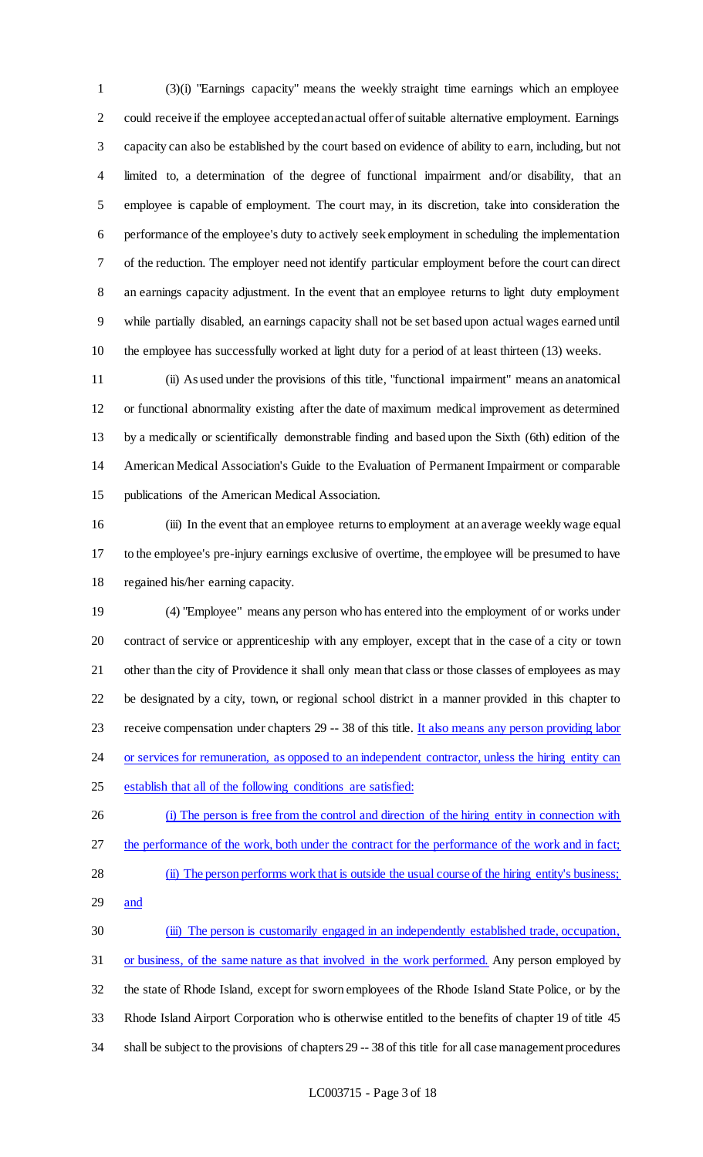(3)(i) "Earnings capacity" means the weekly straight time earnings which an employee could receive if the employee accepted an actual offer of suitable alternative employment. Earnings capacity can also be established by the court based on evidence of ability to earn, including, but not limited to, a determination of the degree of functional impairment and/or disability, that an employee is capable of employment. The court may, in its discretion, take into consideration the performance of the employee's duty to actively seek employment in scheduling the implementation of the reduction. The employer need not identify particular employment before the court can direct an earnings capacity adjustment. In the event that an employee returns to light duty employment while partially disabled, an earnings capacity shall not be set based upon actual wages earned until the employee has successfully worked at light duty for a period of at least thirteen (13) weeks.

 (ii) As used under the provisions of this title, "functional impairment" means an anatomical or functional abnormality existing after the date of maximum medical improvement as determined by a medically or scientifically demonstrable finding and based upon the Sixth (6th) edition of the American Medical Association's Guide to the Evaluation of Permanent Impairment or comparable publications of the American Medical Association.

16 (iii) In the event that an employee returns to employment at an average weekly wage equal to the employee's pre-injury earnings exclusive of overtime, the employee will be presumed to have regained his/her earning capacity.

 (4) "Employee" means any person who has entered into the employment of or works under contract of service or apprenticeship with any employer, except that in the case of a city or town other than the city of Providence it shall only mean that class or those classes of employees as may be designated by a city, town, or regional school district in a manner provided in this chapter to 23 receive compensation under chapters 29 -- 38 of this title. It also means any person providing labor 24 or services for remuneration, as opposed to an independent contractor, unless the hiring entity can establish that all of the following conditions are satisfied:

- (i) The person is free from the control and direction of the hiring entity in connection with 27 the performance of the work, both under the contract for the performance of the work and in fact; (ii) The person performs work that is outside the usual course of the hiring entity's business;
- and

 (iii) The person is customarily engaged in an independently established trade, occupation, 31 or business, of the same nature as that involved in the work performed. Any person employed by the state of Rhode Island, except for sworn employees of the Rhode Island State Police, or by the Rhode Island Airport Corporation who is otherwise entitled to the benefits of chapter 19 of title 45 shall be subject to the provisions of chapters 29 -- 38 of this title for all case management procedures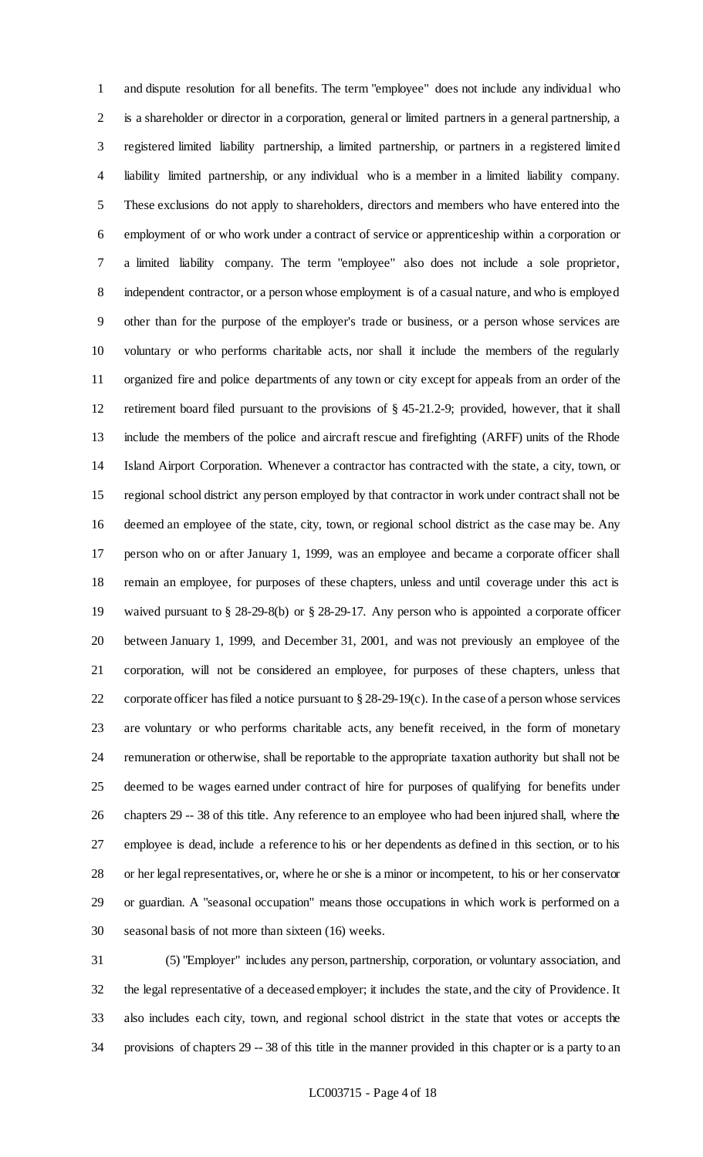and dispute resolution for all benefits. The term "employee" does not include any individual who is a shareholder or director in a corporation, general or limited partners in a general partnership, a registered limited liability partnership, a limited partnership, or partners in a registered limited liability limited partnership, or any individual who is a member in a limited liability company. These exclusions do not apply to shareholders, directors and members who have entered into the employment of or who work under a contract of service or apprenticeship within a corporation or a limited liability company. The term "employee" also does not include a sole proprietor, independent contractor, or a person whose employment is of a casual nature, and who is employed other than for the purpose of the employer's trade or business, or a person whose services are voluntary or who performs charitable acts, nor shall it include the members of the regularly organized fire and police departments of any town or city except for appeals from an order of the retirement board filed pursuant to the provisions of § 45-21.2-9; provided, however, that it shall include the members of the police and aircraft rescue and firefighting (ARFF) units of the Rhode Island Airport Corporation. Whenever a contractor has contracted with the state, a city, town, or regional school district any person employed by that contractor in work under contract shall not be deemed an employee of the state, city, town, or regional school district as the case may be. Any person who on or after January 1, 1999, was an employee and became a corporate officer shall remain an employee, for purposes of these chapters, unless and until coverage under this act is waived pursuant to § 28-29-8(b) or § 28-29-17. Any person who is appointed a corporate officer between January 1, 1999, and December 31, 2001, and was not previously an employee of the corporation, will not be considered an employee, for purposes of these chapters, unless that 22 corporate officer has filed a notice pursuant to  $\S 28-29-19(c)$ . In the case of a person whose services are voluntary or who performs charitable acts, any benefit received, in the form of monetary remuneration or otherwise, shall be reportable to the appropriate taxation authority but shall not be deemed to be wages earned under contract of hire for purposes of qualifying for benefits under chapters 29 -- 38 of this title. Any reference to an employee who had been injured shall, where the employee is dead, include a reference to his or her dependents as defined in this section, or to his or her legal representatives, or, where he or she is a minor or incompetent, to his or her conservator or guardian. A "seasonal occupation" means those occupations in which work is performed on a seasonal basis of not more than sixteen (16) weeks.

 (5) "Employer" includes any person, partnership, corporation, or voluntary association, and the legal representative of a deceased employer; it includes the state, and the city of Providence. It also includes each city, town, and regional school district in the state that votes or accepts the provisions of chapters 29 -- 38 of this title in the manner provided in this chapter or is a party to an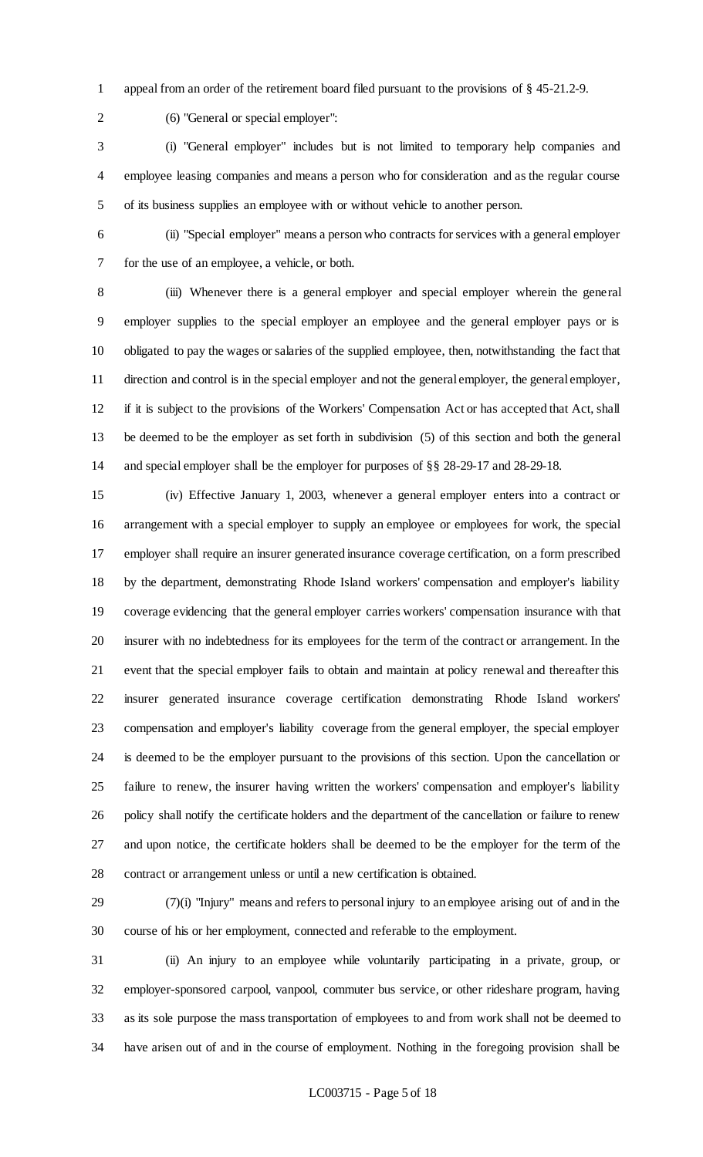appeal from an order of the retirement board filed pursuant to the provisions of § 45-21.2-9.

(6) "General or special employer":

 (i) "General employer" includes but is not limited to temporary help companies and employee leasing companies and means a person who for consideration and as the regular course of its business supplies an employee with or without vehicle to another person.

 (ii) "Special employer" means a person who contracts for services with a general employer for the use of an employee, a vehicle, or both.

 (iii) Whenever there is a general employer and special employer wherein the general employer supplies to the special employer an employee and the general employer pays or is obligated to pay the wages or salaries of the supplied employee, then, notwithstanding the fact that direction and control is in the special employer and not the general employer, the general employer, if it is subject to the provisions of the Workers' Compensation Act or has accepted that Act, shall be deemed to be the employer as set forth in subdivision (5) of this section and both the general and special employer shall be the employer for purposes of §§ 28-29-17 and 28-29-18.

 (iv) Effective January 1, 2003, whenever a general employer enters into a contract or arrangement with a special employer to supply an employee or employees for work, the special employer shall require an insurer generated insurance coverage certification, on a form prescribed by the department, demonstrating Rhode Island workers' compensation and employer's liability coverage evidencing that the general employer carries workers' compensation insurance with that insurer with no indebtedness for its employees for the term of the contract or arrangement. In the event that the special employer fails to obtain and maintain at policy renewal and thereafter this insurer generated insurance coverage certification demonstrating Rhode Island workers' compensation and employer's liability coverage from the general employer, the special employer is deemed to be the employer pursuant to the provisions of this section. Upon the cancellation or failure to renew, the insurer having written the workers' compensation and employer's liability policy shall notify the certificate holders and the department of the cancellation or failure to renew and upon notice, the certificate holders shall be deemed to be the employer for the term of the contract or arrangement unless or until a new certification is obtained.

 (7)(i) "Injury" means and refers to personal injury to an employee arising out of and in the course of his or her employment, connected and referable to the employment.

 (ii) An injury to an employee while voluntarily participating in a private, group, or employer-sponsored carpool, vanpool, commuter bus service, or other rideshare program, having as its sole purpose the mass transportation of employees to and from work shall not be deemed to have arisen out of and in the course of employment. Nothing in the foregoing provision shall be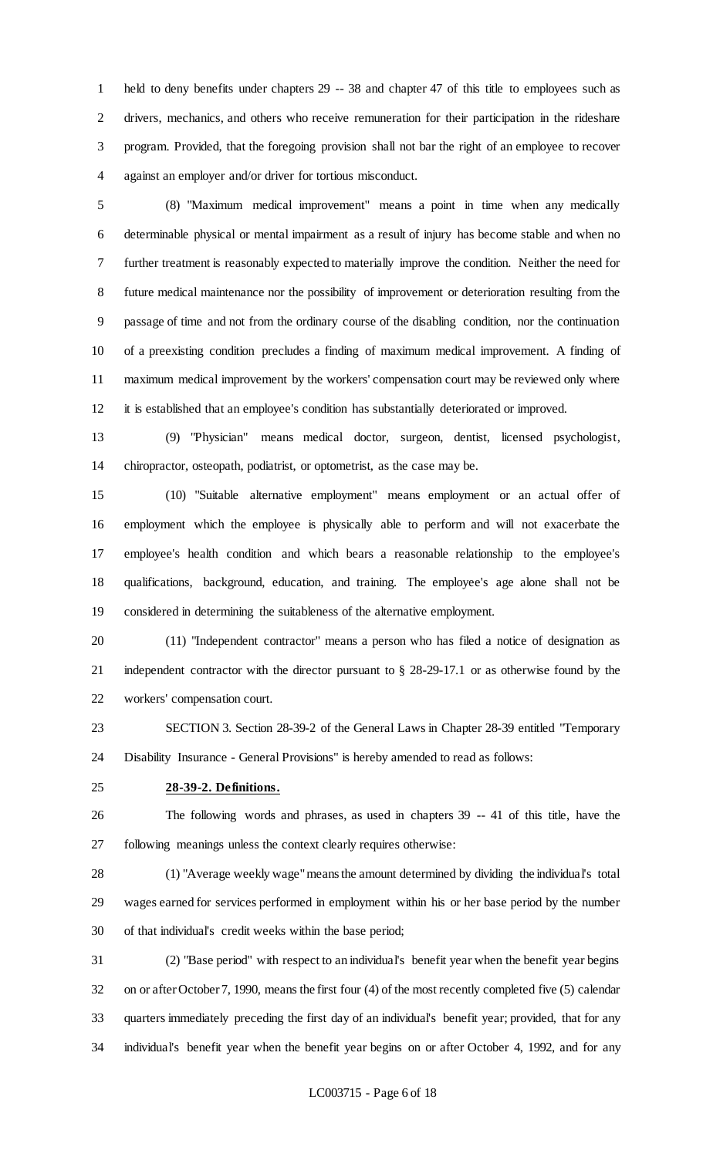held to deny benefits under chapters 29 -- 38 and chapter 47 of this title to employees such as drivers, mechanics, and others who receive remuneration for their participation in the rideshare program. Provided, that the foregoing provision shall not bar the right of an employee to recover against an employer and/or driver for tortious misconduct.

 (8) "Maximum medical improvement" means a point in time when any medically determinable physical or mental impairment as a result of injury has become stable and when no further treatment is reasonably expected to materially improve the condition. Neither the need for future medical maintenance nor the possibility of improvement or deterioration resulting from the passage of time and not from the ordinary course of the disabling condition, nor the continuation of a preexisting condition precludes a finding of maximum medical improvement. A finding of maximum medical improvement by the workers' compensation court may be reviewed only where it is established that an employee's condition has substantially deteriorated or improved.

 (9) "Physician" means medical doctor, surgeon, dentist, licensed psychologist, chiropractor, osteopath, podiatrist, or optometrist, as the case may be.

 (10) "Suitable alternative employment" means employment or an actual offer of employment which the employee is physically able to perform and will not exacerbate the employee's health condition and which bears a reasonable relationship to the employee's qualifications, background, education, and training. The employee's age alone shall not be considered in determining the suitableness of the alternative employment.

 (11) "Independent contractor" means a person who has filed a notice of designation as independent contractor with the director pursuant to § 28-29-17.1 or as otherwise found by the workers' compensation court.

 SECTION 3. Section 28-39-2 of the General Laws in Chapter 28-39 entitled "Temporary Disability Insurance - General Provisions" is hereby amended to read as follows:

#### **28-39-2. Definitions.**

 The following words and phrases, as used in chapters 39 -- 41 of this title, have the following meanings unless the context clearly requires otherwise:

 (1) "Average weekly wage" means the amount determined by dividing the individual's total wages earned for services performed in employment within his or her base period by the number of that individual's credit weeks within the base period;

 (2) "Base period" with respect to an individual's benefit year when the benefit year begins on or after October 7, 1990, means the first four (4) of the most recently completed five (5) calendar quarters immediately preceding the first day of an individual's benefit year; provided, that for any individual's benefit year when the benefit year begins on or after October 4, 1992, and for any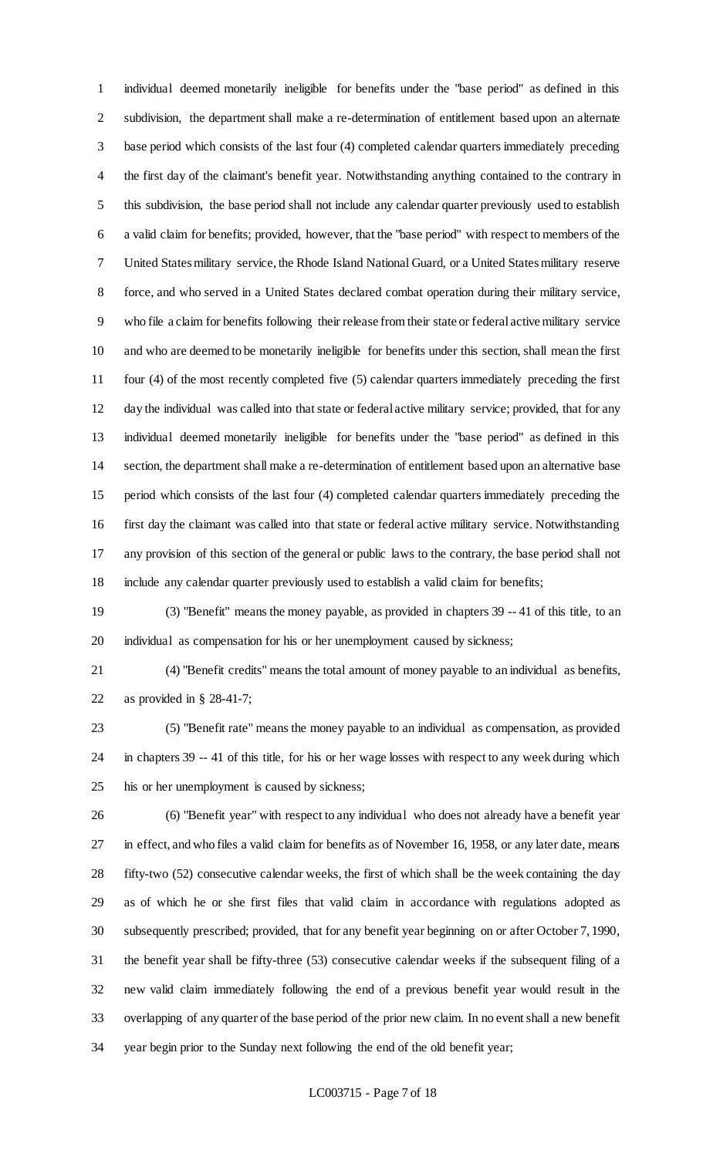individual deemed monetarily ineligible for benefits under the "base period" as defined in this subdivision, the department shall make a re-determination of entitlement based upon an alternate base period which consists of the last four (4) completed calendar quarters immediately preceding the first day of the claimant's benefit year. Notwithstanding anything contained to the contrary in this subdivision, the base period shall not include any calendar quarter previously used to establish a valid claim for benefits; provided, however, that the "base period" with respect to members of the United States military service, the Rhode Island National Guard, or a United States military reserve force, and who served in a United States declared combat operation during their military service, who file a claim for benefits following their release from their state or federal active military service and who are deemed to be monetarily ineligible for benefits under this section, shall mean the first four (4) of the most recently completed five (5) calendar quarters immediately preceding the first day the individual was called into that state or federal active military service; provided, that for any individual deemed monetarily ineligible for benefits under the "base period" as defined in this section, the department shall make a re-determination of entitlement based upon an alternative base period which consists of the last four (4) completed calendar quarters immediately preceding the first day the claimant was called into that state or federal active military service. Notwithstanding any provision of this section of the general or public laws to the contrary, the base period shall not include any calendar quarter previously used to establish a valid claim for benefits;

 (3) "Benefit" means the money payable, as provided in chapters 39 -- 41 of this title, to an individual as compensation for his or her unemployment caused by sickness;

 (4) "Benefit credits" means the total amount of money payable to an individual as benefits, as provided in § 28-41-7;

 (5) "Benefit rate" means the money payable to an individual as compensation, as provided in chapters 39 -- 41 of this title, for his or her wage losses with respect to any week during which his or her unemployment is caused by sickness;

 (6) "Benefit year" with respect to any individual who does not already have a benefit year in effect, and who files a valid claim for benefits as of November 16, 1958, or any later date, means fifty-two (52) consecutive calendar weeks, the first of which shall be the week containing the day as of which he or she first files that valid claim in accordance with regulations adopted as subsequently prescribed; provided, that for any benefit year beginning on or after October 7, 1990, the benefit year shall be fifty-three (53) consecutive calendar weeks if the subsequent filing of a new valid claim immediately following the end of a previous benefit year would result in the overlapping of any quarter of the base period of the prior new claim. In no event shall a new benefit year begin prior to the Sunday next following the end of the old benefit year;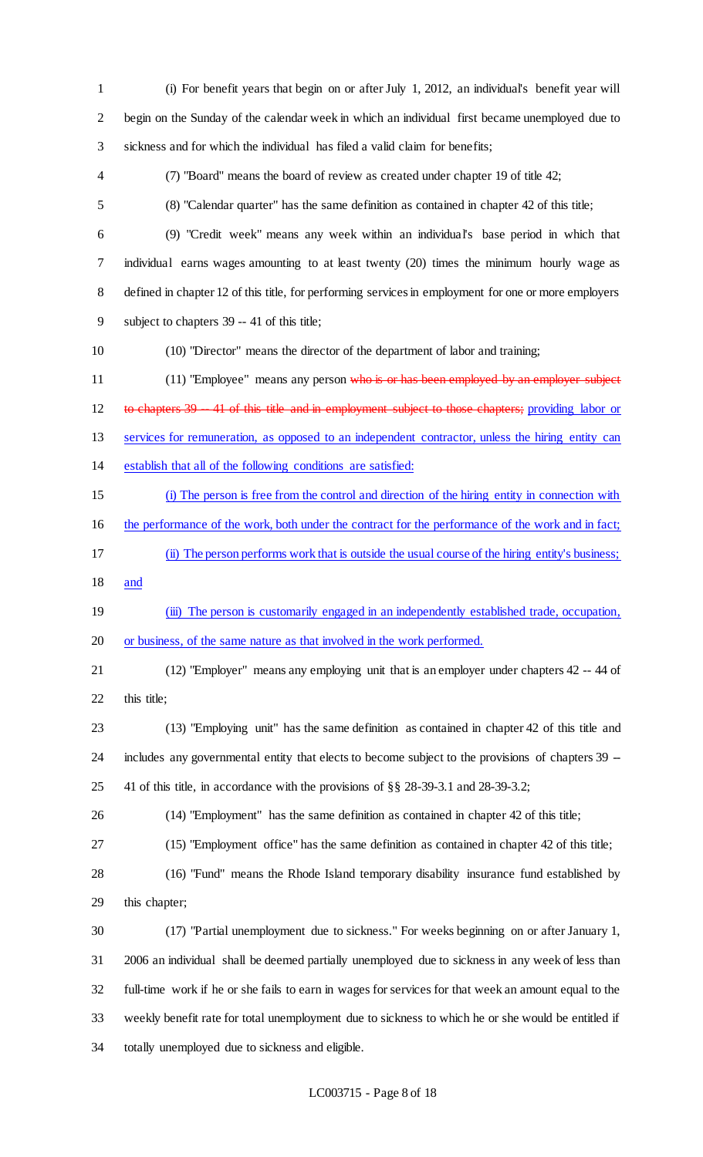(i) For benefit years that begin on or after July 1, 2012, an individual's benefit year will begin on the Sunday of the calendar week in which an individual first became unemployed due to sickness and for which the individual has filed a valid claim for benefits; (7) "Board" means the board of review as created under chapter 19 of title 42; (8) "Calendar quarter" has the same definition as contained in chapter 42 of this title; (9) "Credit week" means any week within an individual's base period in which that individual earns wages amounting to at least twenty (20) times the minimum hourly wage as defined in chapter 12 of this title, for performing services in employment for one or more employers subject to chapters 39 -- 41 of this title; (10) "Director" means the director of the department of labor and training; 11 (11) "Employee" means any person who is or has been employed by an employer subject 12 to chapters 39 -41 of this title and in employment subject to those chapters; providing labor or 13 services for remuneration, as opposed to an independent contractor, unless the hiring entity can establish that all of the following conditions are satisfied: (i) The person is free from the control and direction of the hiring entity in connection with the performance of the work, both under the contract for the performance of the work and in fact; (ii) The person performs work that is outside the usual course of the hiring entity's business; and 19 (iii) The person is customarily engaged in an independently established trade, occupation, 20 or business, of the same nature as that involved in the work performed. (12) "Employer" means any employing unit that is an employer under chapters 42 -- 44 of 22 this title; (13) "Employing unit" has the same definition as contained in chapter 42 of this title and 24 includes any governmental entity that elects to become subject to the provisions of chapters 39 -- 41 of this title, in accordance with the provisions of §§ 28-39-3.1 and 28-39-3.2; (14) "Employment" has the same definition as contained in chapter 42 of this title; (15) "Employment office" has the same definition as contained in chapter 42 of this title; (16) "Fund" means the Rhode Island temporary disability insurance fund established by this chapter; (17) "Partial unemployment due to sickness." For weeks beginning on or after January 1, 2006 an individual shall be deemed partially unemployed due to sickness in any week of less than full-time work if he or she fails to earn in wages for services for that week an amount equal to the weekly benefit rate for total unemployment due to sickness to which he or she would be entitled if totally unemployed due to sickness and eligible.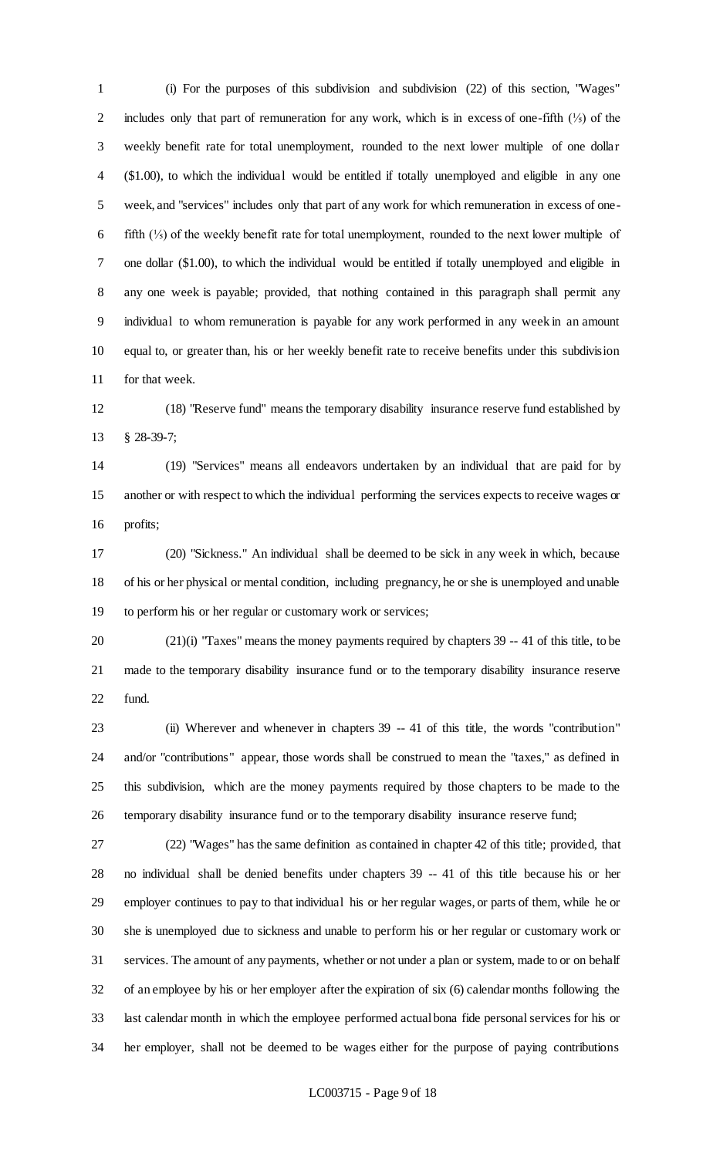(i) For the purposes of this subdivision and subdivision (22) of this section, "Wages" 2 includes only that part of remuneration for any work, which is in excess of one-fifth (1/5) of the weekly benefit rate for total unemployment, rounded to the next lower multiple of one dollar (\$1.00), to which the individual would be entitled if totally unemployed and eligible in any one week, and "services" includes only that part of any work for which remuneration in excess of one- fifth (⅕) of the weekly benefit rate for total unemployment, rounded to the next lower multiple of one dollar (\$1.00), to which the individual would be entitled if totally unemployed and eligible in any one week is payable; provided, that nothing contained in this paragraph shall permit any individual to whom remuneration is payable for any work performed in any week in an amount equal to, or greater than, his or her weekly benefit rate to receive benefits under this subdivision for that week.

 (18) "Reserve fund" means the temporary disability insurance reserve fund established by § 28-39-7;

 (19) "Services" means all endeavors undertaken by an individual that are paid for by another or with respect to which the individual performing the services expects to receive wages or profits;

 (20) "Sickness." An individual shall be deemed to be sick in any week in which, because of his or her physical or mental condition, including pregnancy, he or she is unemployed and unable to perform his or her regular or customary work or services;

 (21)(i) "Taxes" means the money payments required by chapters 39 -- 41 of this title, to be made to the temporary disability insurance fund or to the temporary disability insurance reserve fund.

 (ii) Wherever and whenever in chapters 39 -- 41 of this title, the words "contribution" and/or "contributions" appear, those words shall be construed to mean the "taxes," as defined in this subdivision, which are the money payments required by those chapters to be made to the temporary disability insurance fund or to the temporary disability insurance reserve fund;

 (22) "Wages" has the same definition as contained in chapter 42 of this title; provided, that no individual shall be denied benefits under chapters 39 -- 41 of this title because his or her employer continues to pay to that individual his or her regular wages, or parts of them, while he or she is unemployed due to sickness and unable to perform his or her regular or customary work or services. The amount of any payments, whether or not under a plan or system, made to or on behalf of an employee by his or her employer after the expiration of six (6) calendar months following the last calendar month in which the employee performed actual bona fide personal services for his or her employer, shall not be deemed to be wages either for the purpose of paying contributions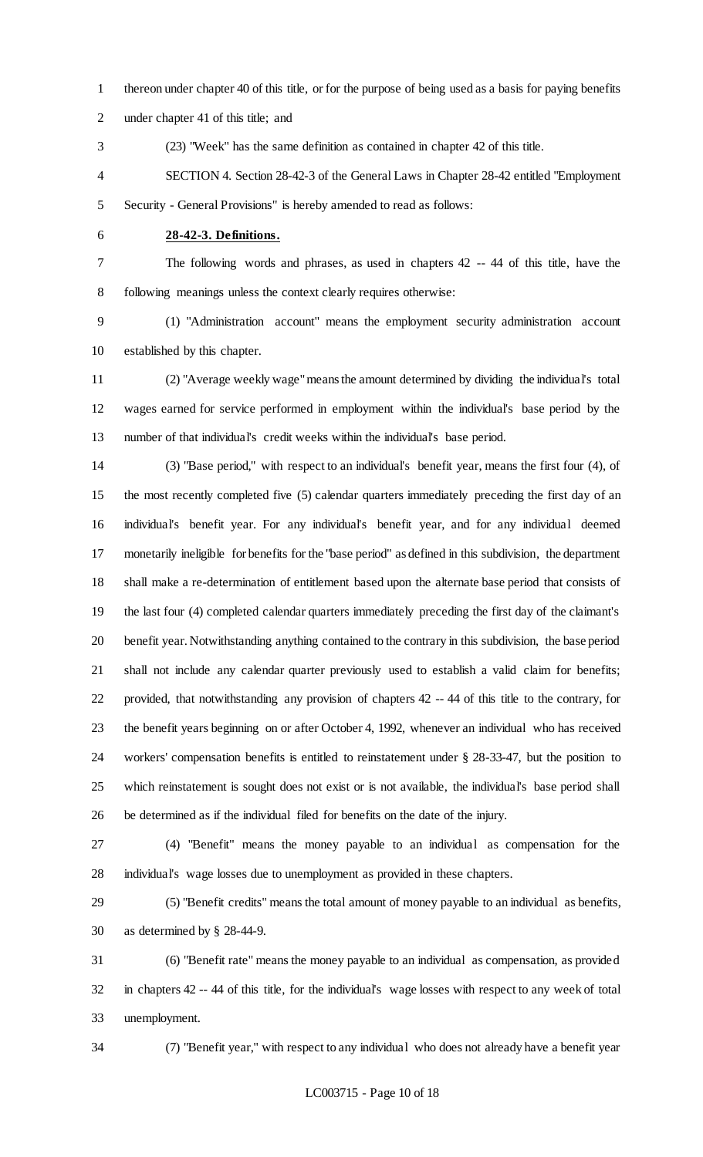- thereon under chapter 40 of this title, or for the purpose of being used as a basis for paying benefits
- under chapter 41 of this title; and
- (23) "Week" has the same definition as contained in chapter 42 of this title.
- SECTION 4. Section 28-42-3 of the General Laws in Chapter 28-42 entitled "Employment Security - General Provisions" is hereby amended to read as follows:
- 

#### **28-42-3. Definitions.**

 The following words and phrases, as used in chapters 42 -- 44 of this title, have the following meanings unless the context clearly requires otherwise:

 (1) "Administration account" means the employment security administration account established by this chapter.

 (2) "Average weekly wage" means the amount determined by dividing the individual's total wages earned for service performed in employment within the individual's base period by the number of that individual's credit weeks within the individual's base period.

 (3) "Base period," with respect to an individual's benefit year, means the first four (4), of the most recently completed five (5) calendar quarters immediately preceding the first day of an individual's benefit year. For any individual's benefit year, and for any individual deemed monetarily ineligible for benefits for the "base period" as defined in this subdivision, the department shall make a re-determination of entitlement based upon the alternate base period that consists of the last four (4) completed calendar quarters immediately preceding the first day of the claimant's benefit year. Notwithstanding anything contained to the contrary in this subdivision, the base period shall not include any calendar quarter previously used to establish a valid claim for benefits; provided, that notwithstanding any provision of chapters 42 -- 44 of this title to the contrary, for the benefit years beginning on or after October 4, 1992, whenever an individual who has received workers' compensation benefits is entitled to reinstatement under § 28-33-47, but the position to which reinstatement is sought does not exist or is not available, the individual's base period shall be determined as if the individual filed for benefits on the date of the injury.

 (4) "Benefit" means the money payable to an individual as compensation for the individual's wage losses due to unemployment as provided in these chapters.

 (5) "Benefit credits" means the total amount of money payable to an individual as benefits, as determined by § 28-44-9.

 (6) "Benefit rate" means the money payable to an individual as compensation, as provided in chapters 42 -- 44 of this title, for the individual's wage losses with respect to any week of total unemployment.

(7) "Benefit year," with respect to any individual who does not already have a benefit year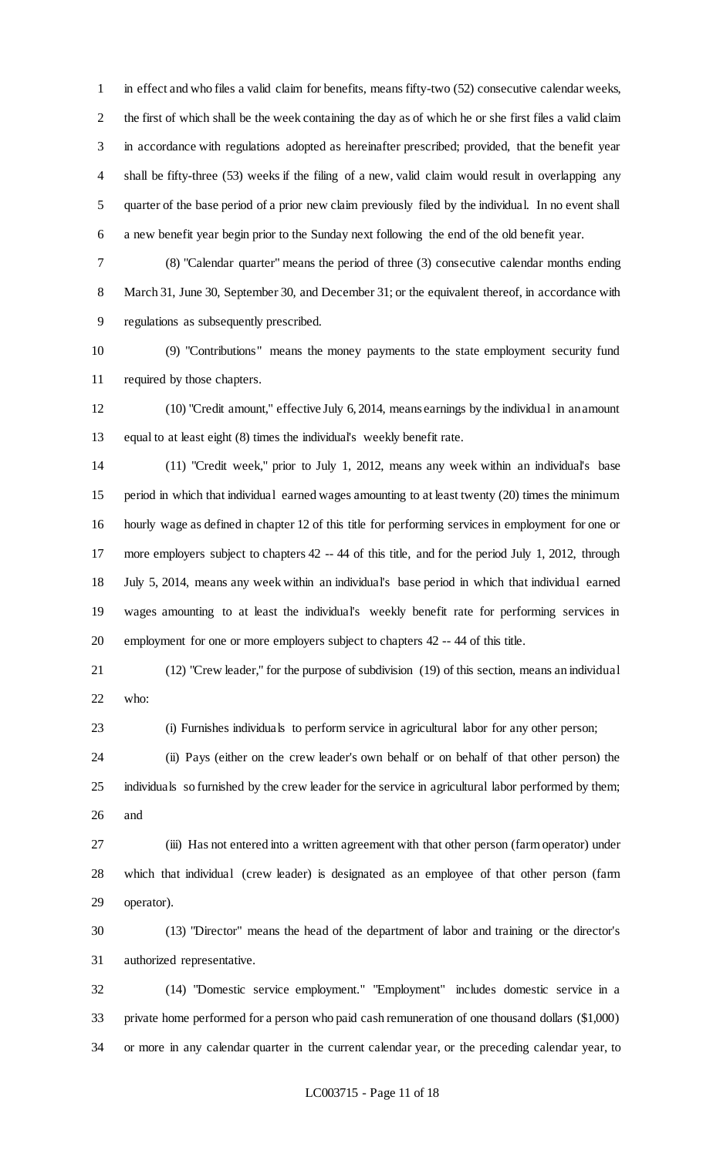in effect and who files a valid claim for benefits, means fifty-two (52) consecutive calendar weeks, the first of which shall be the week containing the day as of which he or she first files a valid claim in accordance with regulations adopted as hereinafter prescribed; provided, that the benefit year shall be fifty-three (53) weeks if the filing of a new, valid claim would result in overlapping any quarter of the base period of a prior new claim previously filed by the individual. In no event shall a new benefit year begin prior to the Sunday next following the end of the old benefit year.

 (8) "Calendar quarter" means the period of three (3) consecutive calendar months ending 8 March 31, June 30, September 30, and December 31; or the equivalent thereof, in accordance with regulations as subsequently prescribed.

 (9) "Contributions" means the money payments to the state employment security fund required by those chapters.

 (10) "Credit amount," effective July 6, 2014, means earnings by the individual in an amount equal to at least eight (8) times the individual's weekly benefit rate.

 (11) "Credit week," prior to July 1, 2012, means any week within an individual's base period in which that individual earned wages amounting to at least twenty (20) times the minimum hourly wage as defined in chapter 12 of this title for performing services in employment for one or more employers subject to chapters 42 -- 44 of this title, and for the period July 1, 2012, through July 5, 2014, means any week within an individual's base period in which that individual earned wages amounting to at least the individual's weekly benefit rate for performing services in employment for one or more employers subject to chapters 42 -- 44 of this title.

 (12) "Crew leader," for the purpose of subdivision (19) of this section, means an individual who:

(i) Furnishes individuals to perform service in agricultural labor for any other person;

 (ii) Pays (either on the crew leader's own behalf or on behalf of that other person) the individuals so furnished by the crew leader for the service in agricultural labor performed by them; and

 (iii) Has not entered into a written agreement with that other person (farm operator) under which that individual (crew leader) is designated as an employee of that other person (farm operator).

 (13) "Director" means the head of the department of labor and training or the director's authorized representative.

 (14) "Domestic service employment." "Employment" includes domestic service in a private home performed for a person who paid cash remuneration of one thousand dollars (\$1,000) or more in any calendar quarter in the current calendar year, or the preceding calendar year, to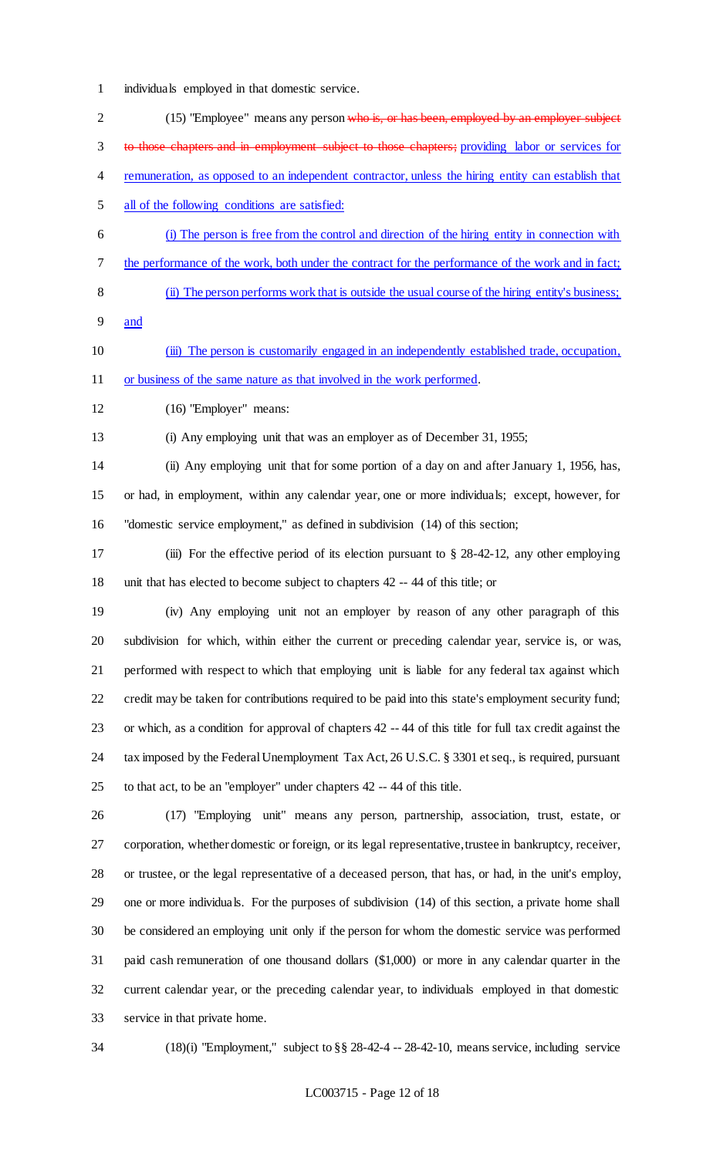individuals employed in that domestic service.

| $\overline{2}$           | (15) "Employee" means any person who is, or has been, employed by an employer subject                     |
|--------------------------|-----------------------------------------------------------------------------------------------------------|
| 3                        | to those chapters and in employment subject to those chapters; providing labor or services for            |
| $\overline{\mathcal{A}}$ | remuneration, as opposed to an independent contractor, unless the hiring entity can establish that        |
| 5                        | all of the following conditions are satisfied:                                                            |
| 6                        | (i) The person is free from the control and direction of the hiring entity in connection with             |
| $\tau$                   | the performance of the work, both under the contract for the performance of the work and in fact;         |
| 8                        | (ii) The person performs work that is outside the usual course of the hiring entity's business;           |
| 9                        | and                                                                                                       |
| 10                       | (iii) The person is customarily engaged in an independently established trade, occupation,                |
| 11                       | or business of the same nature as that involved in the work performed.                                    |
| 12                       | (16) "Employer" means:                                                                                    |
| 13                       | (i) Any employing unit that was an employer as of December 31, 1955;                                      |
| 14                       | (ii) Any employing unit that for some portion of a day on and after January 1, 1956, has,                 |
| 15                       | or had, in employment, within any calendar year, one or more individuals; except, however, for            |
| 16                       | "domestic service employment," as defined in subdivision (14) of this section;                            |
| 17                       | (iii) For the effective period of its election pursuant to $\S$ 28-42-12, any other employing             |
| 18                       | unit that has elected to become subject to chapters 42 -- 44 of this title; or                            |
| 19                       | (iv) Any employing unit not an employer by reason of any other paragraph of this                          |
| 20                       | subdivision for which, within either the current or preceding calendar year, service is, or was,          |
| 21                       | performed with respect to which that employing unit is liable for any federal tax against which           |
| 22                       | credit may be taken for contributions required to be paid into this state's employment security fund;     |
| 23                       | or which, as a condition for approval of chapters $42 - 44$ of this title for full tax credit against the |
| 24                       | tax imposed by the Federal Unemployment Tax Act, 26 U.S.C. § 3301 et seq., is required, pursuant          |
| 25                       | to that act, to be an "employer" under chapters 42 -- 44 of this title.                                   |
| 26                       | (17) "Employing unit" means any person, partnership, association, trust, estate, or                       |
| 27                       | corporation, whether domestic or foreign, or its legal representative, trustee in bankruptcy, receiver,   |
| 28                       | or trustee, or the legal representative of a deceased person, that has, or had, in the unit's employ,     |
| 29                       | one or more individuals. For the purposes of subdivision (14) of this section, a private home shall       |
| 30                       | be considered an employing unit only if the person for whom the domestic service was performed            |
| 31                       | paid cash remuneration of one thousand dollars (\$1,000) or more in any calendar quarter in the           |
| 32                       | current calendar year, or the preceding calendar year, to individuals employed in that domestic           |

- service in that private home.
- 

(18)(i) "Employment," subject to §§ 28-42-4 -- 28-42-10, means service, including service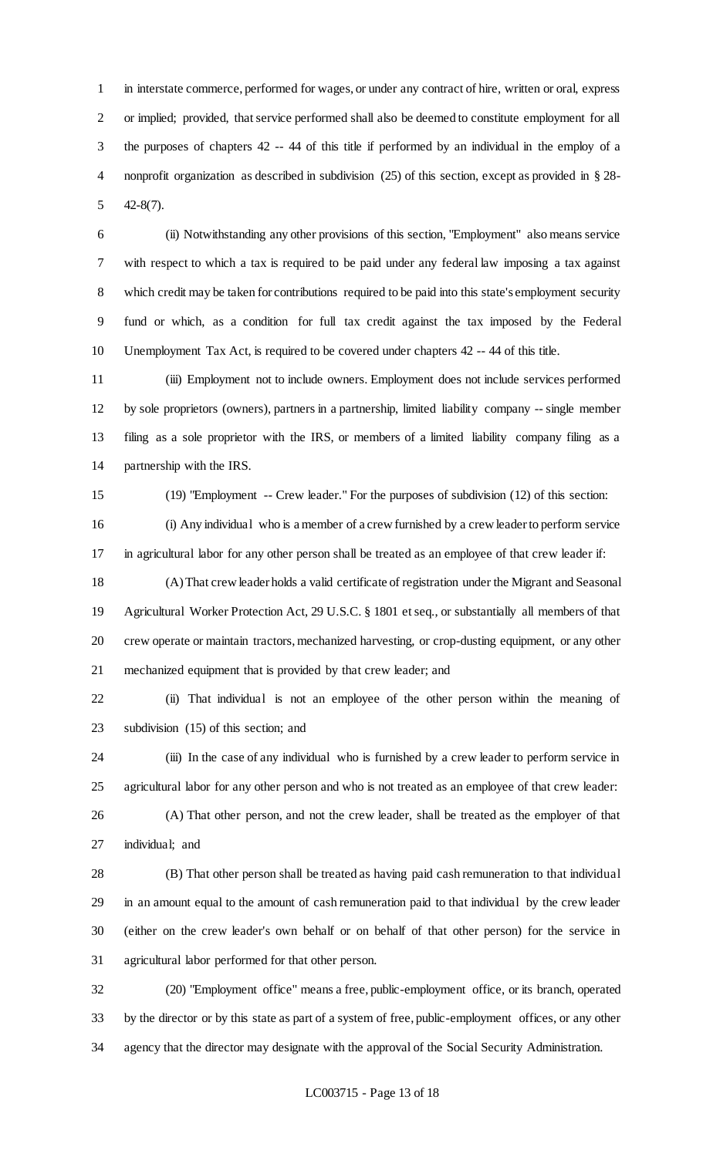in interstate commerce, performed for wages, or under any contract of hire, written or oral, express or implied; provided, that service performed shall also be deemed to constitute employment for all the purposes of chapters 42 -- 44 of this title if performed by an individual in the employ of a nonprofit organization as described in subdivision (25) of this section, except as provided in § 28- 42-8(7).

 (ii) Notwithstanding any other provisions of this section, "Employment" also means service with respect to which a tax is required to be paid under any federal law imposing a tax against which credit may be taken for contributions required to be paid into this state's employment security fund or which, as a condition for full tax credit against the tax imposed by the Federal Unemployment Tax Act, is required to be covered under chapters 42 -- 44 of this title.

 (iii) Employment not to include owners. Employment does not include services performed by sole proprietors (owners), partners in a partnership, limited liability company -- single member filing as a sole proprietor with the IRS, or members of a limited liability company filing as a partnership with the IRS.

(19) "Employment -- Crew leader." For the purposes of subdivision (12) of this section:

 (i) Any individual who is a member of a crew furnished by a crew leader to perform service in agricultural labor for any other person shall be treated as an employee of that crew leader if:

 (A) That crew leader holds a valid certificate of registration under the Migrant and Seasonal Agricultural Worker Protection Act, 29 U.S.C. § 1801 et seq., or substantially all members of that crew operate or maintain tractors, mechanized harvesting, or crop-dusting equipment, or any other mechanized equipment that is provided by that crew leader; and

 (ii) That individual is not an employee of the other person within the meaning of subdivision (15) of this section; and

 (iii) In the case of any individual who is furnished by a crew leader to perform service in agricultural labor for any other person and who is not treated as an employee of that crew leader:

 (A) That other person, and not the crew leader, shall be treated as the employer of that individual; and

 (B) That other person shall be treated as having paid cash remuneration to that individual in an amount equal to the amount of cash remuneration paid to that individual by the crew leader (either on the crew leader's own behalf or on behalf of that other person) for the service in agricultural labor performed for that other person.

 (20) "Employment office" means a free, public-employment office, or its branch, operated by the director or by this state as part of a system of free, public-employment offices, or any other agency that the director may designate with the approval of the Social Security Administration.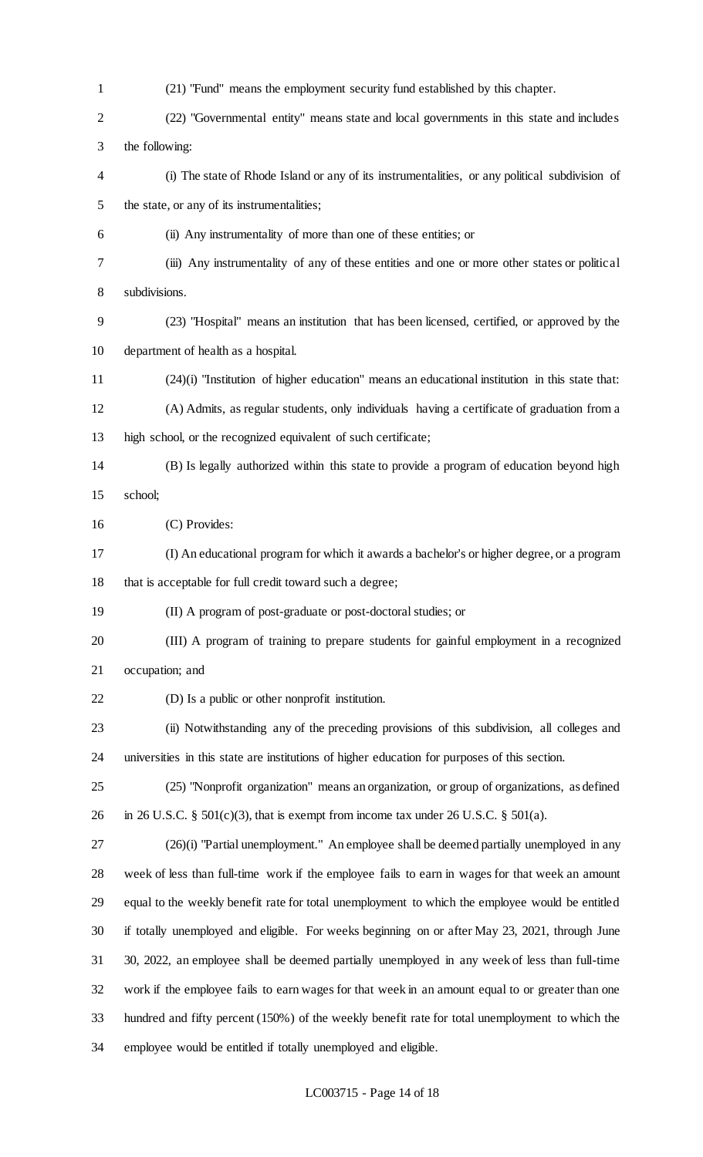(21) "Fund" means the employment security fund established by this chapter. (22) "Governmental entity" means state and local governments in this state and includes the following: (i) The state of Rhode Island or any of its instrumentalities, or any political subdivision of the state, or any of its instrumentalities; (ii) Any instrumentality of more than one of these entities; or (iii) Any instrumentality of any of these entities and one or more other states or political subdivisions. (23) "Hospital" means an institution that has been licensed, certified, or approved by the department of health as a hospital. (24)(i) "Institution of higher education" means an educational institution in this state that: (A) Admits, as regular students, only individuals having a certificate of graduation from a high school, or the recognized equivalent of such certificate; (B) Is legally authorized within this state to provide a program of education beyond high school; (C) Provides: (I) An educational program for which it awards a bachelor's or higher degree, or a program that is acceptable for full credit toward such a degree; (II) A program of post-graduate or post-doctoral studies; or (III) A program of training to prepare students for gainful employment in a recognized occupation; and (D) Is a public or other nonprofit institution. (ii) Notwithstanding any of the preceding provisions of this subdivision, all colleges and universities in this state are institutions of higher education for purposes of this section. (25) "Nonprofit organization" means an organization, or group of organizations, as defined 26 in 26 U.S.C. § 501(c)(3), that is exempt from income tax under 26 U.S.C. § 501(a).

 (26)(i) "Partial unemployment." An employee shall be deemed partially unemployed in any week of less than full-time work if the employee fails to earn in wages for that week an amount equal to the weekly benefit rate for total unemployment to which the employee would be entitled if totally unemployed and eligible. For weeks beginning on or after May 23, 2021, through June 30, 2022, an employee shall be deemed partially unemployed in any week of less than full-time work if the employee fails to earn wages for that week in an amount equal to or greater than one hundred and fifty percent (150%) of the weekly benefit rate for total unemployment to which the employee would be entitled if totally unemployed and eligible.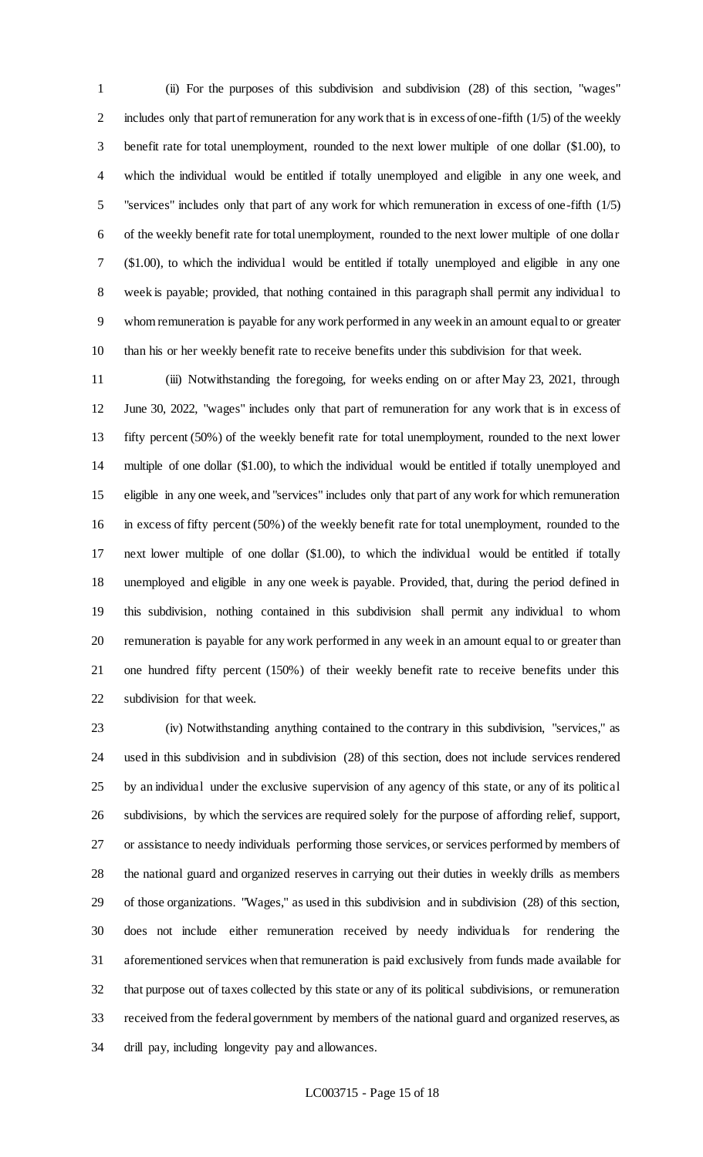(ii) For the purposes of this subdivision and subdivision (28) of this section, "wages" includes only that part of remuneration for any work that is in excess of one-fifth (1/5) of the weekly benefit rate for total unemployment, rounded to the next lower multiple of one dollar (\$1.00), to which the individual would be entitled if totally unemployed and eligible in any one week, and "services" includes only that part of any work for which remuneration in excess of one-fifth (1/5) of the weekly benefit rate for total unemployment, rounded to the next lower multiple of one dollar (\$1.00), to which the individual would be entitled if totally unemployed and eligible in any one week is payable; provided, that nothing contained in this paragraph shall permit any individual to whom remuneration is payable for any work performed in any week in an amount equal to or greater than his or her weekly benefit rate to receive benefits under this subdivision for that week.

 (iii) Notwithstanding the foregoing, for weeks ending on or after May 23, 2021, through June 30, 2022, "wages" includes only that part of remuneration for any work that is in excess of fifty percent (50%) of the weekly benefit rate for total unemployment, rounded to the next lower multiple of one dollar (\$1.00), to which the individual would be entitled if totally unemployed and eligible in any one week, and "services" includes only that part of any work for which remuneration in excess of fifty percent (50%) of the weekly benefit rate for total unemployment, rounded to the next lower multiple of one dollar (\$1.00), to which the individual would be entitled if totally unemployed and eligible in any one week is payable. Provided, that, during the period defined in this subdivision, nothing contained in this subdivision shall permit any individual to whom remuneration is payable for any work performed in any week in an amount equal to or greater than one hundred fifty percent (150%) of their weekly benefit rate to receive benefits under this subdivision for that week.

 (iv) Notwithstanding anything contained to the contrary in this subdivision, "services," as used in this subdivision and in subdivision (28) of this section, does not include services rendered by an individual under the exclusive supervision of any agency of this state, or any of its political subdivisions, by which the services are required solely for the purpose of affording relief, support, or assistance to needy individuals performing those services, or services performed by members of the national guard and organized reserves in carrying out their duties in weekly drills as members of those organizations. "Wages," as used in this subdivision and in subdivision (28) of this section, does not include either remuneration received by needy individuals for rendering the aforementioned services when that remuneration is paid exclusively from funds made available for that purpose out of taxes collected by this state or any of its political subdivisions, or remuneration received from the federal government by members of the national guard and organized reserves, as drill pay, including longevity pay and allowances.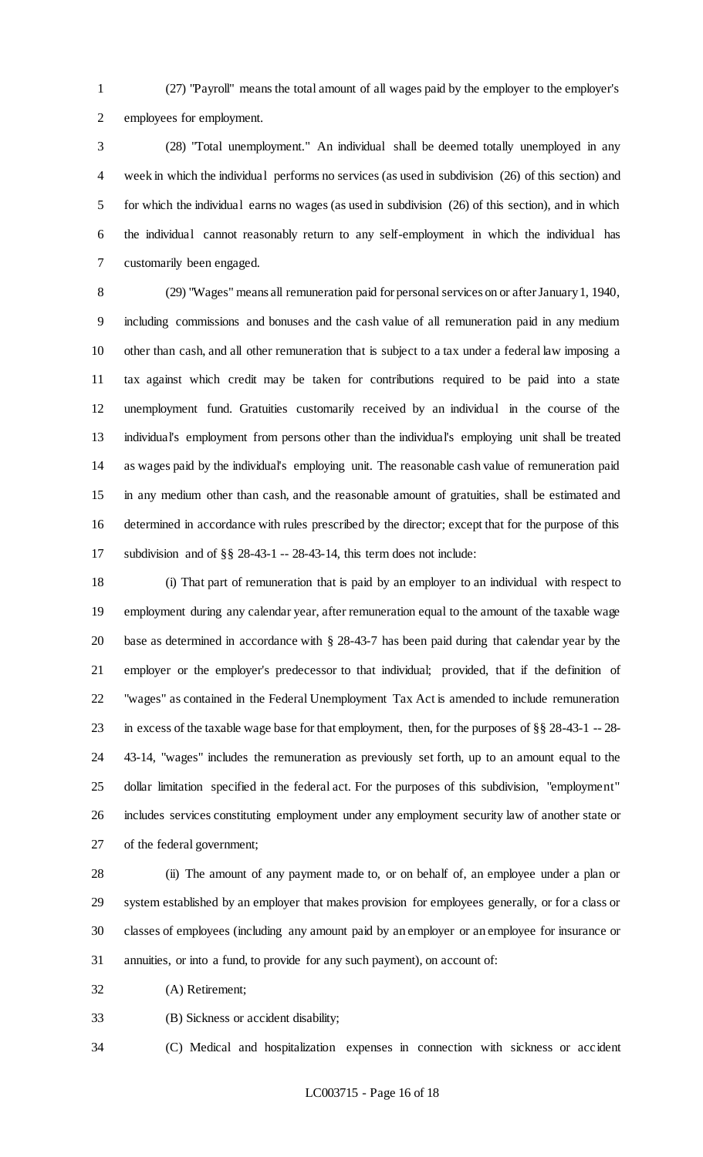(27) "Payroll" means the total amount of all wages paid by the employer to the employer's employees for employment.

 (28) "Total unemployment." An individual shall be deemed totally unemployed in any week in which the individual performs no services (as used in subdivision (26) of this section) and for which the individual earns no wages (as used in subdivision (26) of this section), and in which the individual cannot reasonably return to any self-employment in which the individual has customarily been engaged.

 (29) "Wages" means all remuneration paid for personal services on or after January 1, 1940, including commissions and bonuses and the cash value of all remuneration paid in any medium other than cash, and all other remuneration that is subject to a tax under a federal law imposing a tax against which credit may be taken for contributions required to be paid into a state unemployment fund. Gratuities customarily received by an individual in the course of the individual's employment from persons other than the individual's employing unit shall be treated as wages paid by the individual's employing unit. The reasonable cash value of remuneration paid in any medium other than cash, and the reasonable amount of gratuities, shall be estimated and determined in accordance with rules prescribed by the director; except that for the purpose of this subdivision and of §§ 28-43-1 -- 28-43-14, this term does not include:

 (i) That part of remuneration that is paid by an employer to an individual with respect to employment during any calendar year, after remuneration equal to the amount of the taxable wage base as determined in accordance with § 28-43-7 has been paid during that calendar year by the employer or the employer's predecessor to that individual; provided, that if the definition of "wages" as contained in the Federal Unemployment Tax Act is amended to include remuneration in excess of the taxable wage base for that employment, then, for the purposes of §§ 28-43-1 -- 28- 43-14, "wages" includes the remuneration as previously set forth, up to an amount equal to the dollar limitation specified in the federal act. For the purposes of this subdivision, "employment" includes services constituting employment under any employment security law of another state or of the federal government;

 (ii) The amount of any payment made to, or on behalf of, an employee under a plan or system established by an employer that makes provision for employees generally, or for a class or classes of employees (including any amount paid by an employer or an employee for insurance or annuities, or into a fund, to provide for any such payment), on account of:

(A) Retirement;

(B) Sickness or accident disability;

(C) Medical and hospitalization expenses in connection with sickness or accident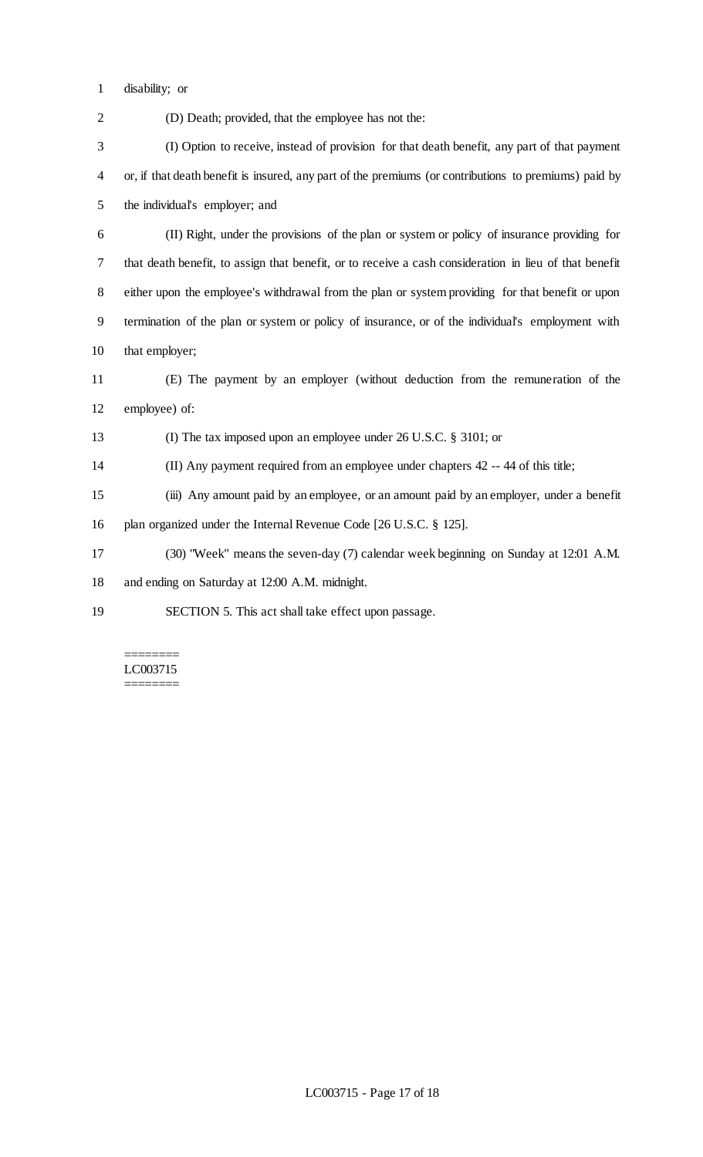disability; or

(D) Death; provided, that the employee has not the:

 (I) Option to receive, instead of provision for that death benefit, any part of that payment or, if that death benefit is insured, any part of the premiums (or contributions to premiums) paid by the individual's employer; and

 (II) Right, under the provisions of the plan or system or policy of insurance providing for that death benefit, to assign that benefit, or to receive a cash consideration in lieu of that benefit either upon the employee's withdrawal from the plan or system providing for that benefit or upon termination of the plan or system or policy of insurance, or of the individual's employment with that employer;

 (E) The payment by an employer (without deduction from the remuneration of the employee) of:

(I) The tax imposed upon an employee under 26 U.S.C. § 3101; or

(II) Any payment required from an employee under chapters 42 -- 44 of this title;

(iii) Any amount paid by an employee, or an amount paid by an employer, under a benefit

plan organized under the Internal Revenue Code [26 U.S.C. § 125].

(30) "Week" means the seven-day (7) calendar week beginning on Sunday at 12:01 A.M.

and ending on Saturday at 12:00 A.M. midnight.

SECTION 5. This act shall take effect upon passage.

======== LC003715 ========